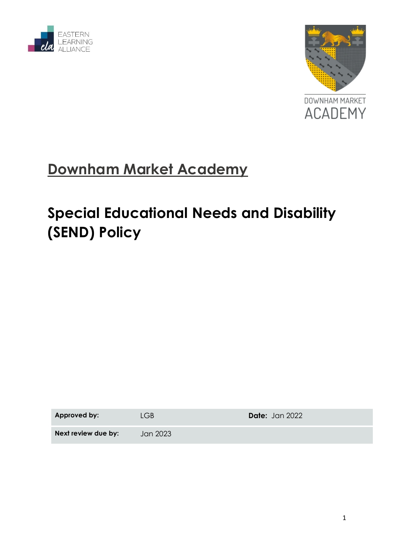



# **Downham Market Academy**

# **Special Educational Needs and Disability (SEND) Policy**

| Approved by:        | LGB.     | <b>Date:</b> Jan 2022 |
|---------------------|----------|-----------------------|
| Next review due by: | Jan 2023 |                       |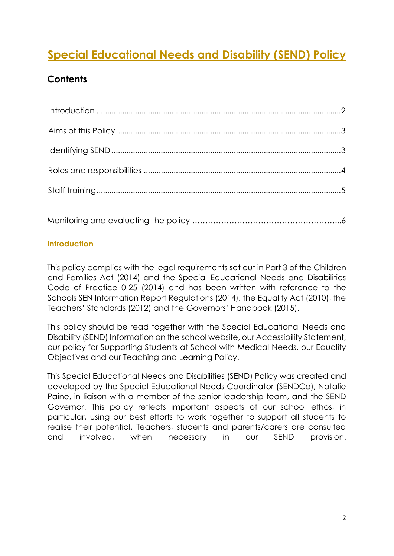## **Special Educational Needs and Disability (SEND) Policy**

### **Contents**

#### <span id="page-1-0"></span>**Introduction**

This policy complies with the legal requirements set out in Part 3 of the Children and Families Act (2014) and the Special Educational Needs and Disabilities Code of Practice 0-25 (2014) and has been written with reference to the Schools SEN Information Report Regulations (2014), the Equality Act (2010), the Teachers' Standards (2012) and the Governors' Handbook (2015).

This policy should be read together with the Special Educational Needs and Disability (SEND) Information on the school website, our Accessibility Statement, our policy for Supporting Students at School with Medical Needs, our Equality Objectives and our Teaching and Learning Policy.

This Special Educational Needs and Disabilities (SEND) Policy was created and developed by the Special Educational Needs Coordinator (SENDCo), Natalie Paine, in liaison with a member of the senior leadership team, and the SEND Governor. This policy reflects important aspects of our school ethos, in particular, using our best efforts to work together to support all students to realise their potential. Teachers, students and parents/carers are consulted and involved, when necessary in our SEND provision.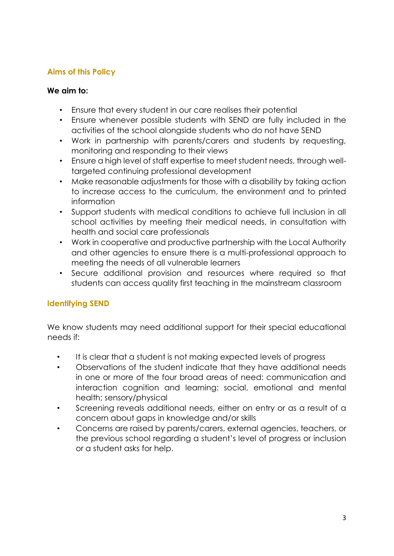#### <span id="page-2-0"></span>**Aims of this Policy**

#### **We aim to:**

- Ensure that every student in our care realises their potential
- Ensure whenever possible students with SEND are fully included in the activities of the school alongside students who do not have SEND
- Work in partnership with parents/carers and students by requesting, monitoring and responding to their views
- Ensure a high level of staff expertise to meet student needs, through welltargeted continuing professional development
- Make reasonable adjustments for those with a disability by taking action to increase access to the curriculum, the environment and to printed information
- Support students with medical conditions to achieve full inclusion in all school activities by meeting their medical needs, in consultation with health and social care professionals
- Work in cooperative and productive partnership with the Local Authority and other agencies to ensure there is a multi-professional approach to meeting the needs of all vulnerable learners
- Secure additional provision and resources where required so that students can access quality first teaching in the mainstream classroom

### <span id="page-2-1"></span>**Identifying SEND**

We know students may need additional support for their special educational needs if:

- It is clear that a student is not making expected levels of progress
- Observations of the student indicate that they have additional needs in one or more of the four broad areas of need: communication and interaction cognition and learning: social, emotional and mental health; sensory/physical
- Screening reveals additional needs, either on entry or as a result of a concern about gaps in knowledge and/or skills
- Concerns are raised by parents/carers, external agencies, teachers, or the previous school regarding a student's level of progress or inclusion or a student asks for help.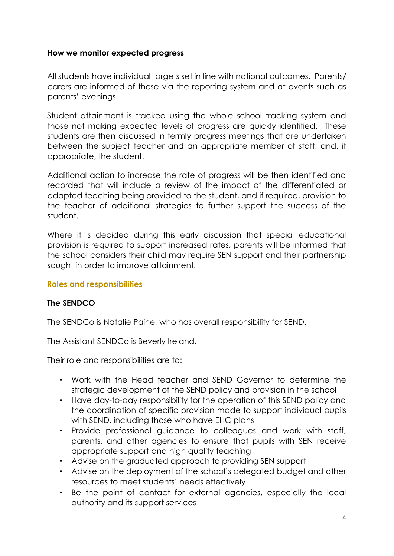#### **How we monitor expected progress**

All students have individual targets set in line with national outcomes. Parents/ carers are informed of these via the reporting system and at events such as parents' evenings.

Student attainment is tracked using the whole school tracking system and those not making expected levels of progress are quickly identified. These students are then discussed in termly progress meetings that are undertaken between the subject teacher and an appropriate member of staff, and, if appropriate, the student.

Additional action to increase the rate of progress will be then identified and recorded that will include a review of the impact of the differentiated or adapted teaching being provided to the student, and if required, provision to the teacher of additional strategies to further support the success of the student.

Where it is decided during this early discussion that special educational provision is required to support increased rates, parents will be informed that the school considers their child may require SEN support and their partnership sought in order to improve attainment.

#### <span id="page-3-0"></span>**Roles and responsibilities**

#### **The SENDCO**

The SENDCo is Natalie Paine, who has overall responsibility for SEND.

The Assistant SENDCo is Beverly Ireland.

Their role and responsibilities are to:

- Work with the Head teacher and SEND Governor to determine the strategic development of the SEND policy and provision in the school
- Have day-to-day responsibility for the operation of this SEND policy and the coordination of specific provision made to support individual pupils with SEND, including those who have EHC plans
- Provide professional guidance to colleagues and work with staff, parents, and other agencies to ensure that pupils with SEN receive appropriate support and high quality teaching
- Advise on the graduated approach to providing SEN support
- Advise on the deployment of the school's delegated budget and other resources to meet students' needs effectively
- Be the point of contact for external agencies, especially the local authority and its support services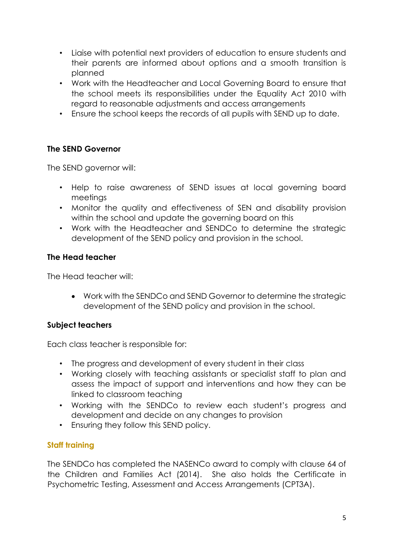- Liaise with potential next providers of education to ensure students and their parents are informed about options and a smooth transition is planned
- Work with the Headteacher and Local Governing Board to ensure that the school meets its responsibilities under the Equality Act 2010 with regard to reasonable adjustments and access arrangements
- Ensure the school keeps the records of all pupils with SEND up to date.

#### **The SEND Governor**

The SEND governor will:

- Help to raise awareness of SEND issues at local governing board meetings
- Monitor the quality and effectiveness of SEN and disability provision within the school and update the governing board on this
- Work with the Headteacher and SENDCo to determine the strategic development of the SEND policy and provision in the school.

#### **The Head teacher**

The Head teacher will:

 Work with the SENDCo and SEND Governor to determine the strategic development of the SEND policy and provision in the school.

#### **Subject teachers**

Each class teacher is responsible for:

- The progress and development of every student in their class
- Working closely with teaching assistants or specialist staff to plan and assess the impact of support and interventions and how they can be linked to classroom teaching
- Working with the SENDCo to review each student's progress and development and decide on any changes to provision
- Ensuring they follow this SEND policy.

#### <span id="page-4-0"></span>**Staff training**

The SENDCo has completed the NASENCo award to comply with clause 64 of the Children and Families Act (2014). She also holds the Certificate in Psychometric Testing, Assessment and Access Arrangements (CPT3A).